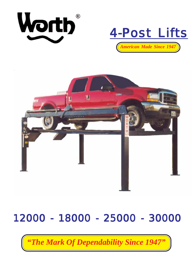





# 12000 - 18000 - 25000 - 30000

*"The Mark Of Dependability Since 1947"*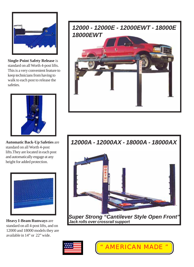

**Single-Point Safety Release** is standard on all Worth 4-post lifts. This is a very convenient feature to keep technicians from having to walk to each post to release the safeties.



**Automatic Back-Up Safeties** are standard on all Worth 4-post lifts.They are located in each post and automatically engage at any height for added protection.



**Heavy I-Beam Runways** are standard on all 4-post lifts, and on 12000 and 18000 models they are available in 14" or 22" wide.



*12000A - 12000AX - 18000A - 18000AX*





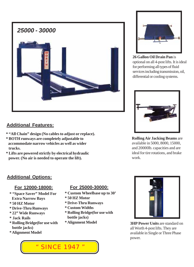

### **Additional Features:**

- **\* "All Chain" design (No cables to adjust or replace).**
- **\* BOTH runways are completely adjustable to accommodate narrow vehicles as well as wider trucks.**
- **\* Lifts are powered strictly by electrical hydraulic power. (No air is needed to operate the lift).**



### **Additional Options:**

#### **For 12000-18000:**

- **\* "Space Saver" Model For Extra Narrow Bays**
- **\* 50 HZ Motor**
- **\* Drive-Thru Runways**
- **\* 22" Wide Runways**
- **\* Jack Rails**
- **\* Rolling Bridge(for use with bottle jacks)**
- **\* Alignment Model**

#### **For 25000-30000:**

- **\* Custom Wheelbase up to 30'**
- **\* 50 HZ Motor**
- **\* Drive-Thru Runways**
- **\* Custom Widths**
- **\* Rolling Bridge(for use with bottle jacks)**
- **\* Alignment Model**



**26 Gallon Oil Drain Pan** is optional on all 4-post lifts. It is ideal for performing all types of fluid services including transmission, oil, differential or cooling systems.



**Rolling Air Jacking Beams** are available in 5000, 8000, 15000, and 20000lb. capacities and are ideal for tire rotations, and brake work.



**3HP Power Units are standard on** all Worth 4-post lifts. They are available in Single or Three Phase power.

" SINCE 1947 "